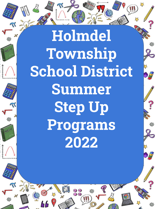**Holmdel Township School District Summer Step Up Programs 2022**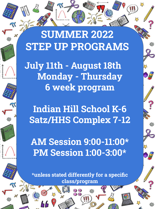**SUMMER 2022 STEP UP PROGRAMS**

**July 11th - August 18th Monday - Thursday 6 week program**

**Indian Hill School K-6 Satz/HHS Complex 7-12**

**AM Session 9:00-11:00\* PM Session 1:00-3:00\***

**\*unless stated differently for a specific class/program**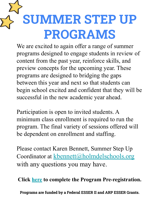# **SUMMER STEP UP PROGRAMS**

We are excited to again offer a range of summer programs designed to engage students in review of content from the past year, reinforce skills, and preview concepts for the upcoming year. These programs are designed to bridging the gaps between this year and next so that students can begin school excited and confident that they will be successful in the new academic year ahead.

Participation is open to invited students. A minimum class enrollment is required to run the program. The final variety of sessions offered will be dependent on enrollment and staffing.

Please contact Karen Bennett, Summer Step Up Coordinator at [kbennett@holmdelschools.org](mailto:kbennett@holmdelschools.org) with any questions you may have.

**Click [here](https://forms.gle/V7PPNc3fBRmJu5Mf7) to complete the Program Pre-registration.**

**Programs are funded by a Federal ESSER II and ARP ESSER Grants.**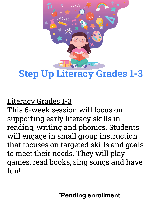

### Literacy Grades 1-3

This 6-week session will focus on supporting early literacy skills in reading, writing and phonics. Students will engage in small group instruction that focuses on targeted skills and goals to meet their needs. They will play games, read books, sing songs and have fun!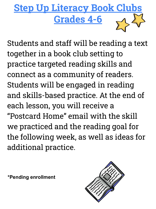

Students and staff will be reading a text together in a book club setting to practice targeted reading skills and connect as a community of readers. Students will be engaged in reading and skills-based practice. At the end of each lesson, you will receive a "Postcard Home" email with the skill we practiced and the reading goal for the following week, as well as ideas for additional practice.

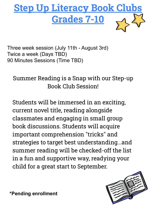

Three week session (July 11th - August 3rd) Twice a week (Days TBD) 90 Minutes Sessions (Time TBD)

Summer Reading is a Snap with our Step-up Book Club Session!

Students will be immersed in an exciting, current novel title, reading alongside classmates and engaging in small group book discussions. Students will acquire important comprehension "tricks" and strategies to target best understanding...and summer reading will be checked-off the list in a fun and supportive way, readying your child for a great start to September.

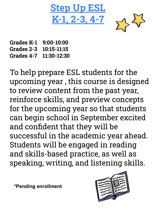**Step Up K-1, 2-3, 4-7**



**Grades K-1 9:00-10:00 Grades 2-3 10:15-11:15 Grades 4-7 11:30-12:30**

To help prepare ESL students for the upcoming year , this course is designed to review content from the past year, reinforce skills, and preview concepts for the upcoming year so that students can begin school in September excited and confident that they will be successful in the academic year ahead. Students will be engaged in reading and skills-based practice, as well as speaking, writing, and listening skills.

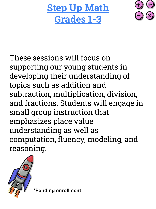**Step Up Math Grades 1-3**



These sessions will focus on supporting our young students in developing their understanding of topics such as addition and subtraction, multiplication, division, and fractions. Students will engage in small group instruction that emphasizes place value understanding as well as computation, fluency, modeling, and reasoning.

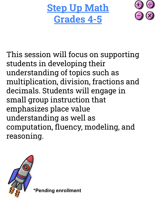**Step Up Math Grades 4-5**



This session will focus on supporting students in developing their understanding of topics such as multiplication, division, fractions and decimals. Students will engage in small group instruction that emphasizes place value understanding as well as computation, fluency, modeling, and reasoning.

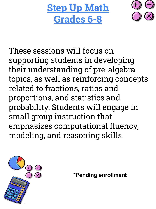**Step Up Math Grades 6-8**



These sessions will focus on supporting students in developing their understanding of pre-algebra topics, as well as reinforcing concepts related to fractions, ratios and proportions, and statistics and probability. Students will engage in small group instruction that emphasizes computational fluency, modeling, and reasoning skills.

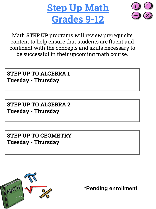



Math **STEP UP** programs will review prerequisite content to help ensure that students are fluent and confident with the concepts and skills necessary to be successful in their upcoming math course.

**STEP UP TO ALGEBRA 1 Tuesday - Thursday**

**STEP UP TO ALGEBRA 2 Tuesday - Thursday**

**STEP UP TO GEOMETRY Tuesday - Thursday**

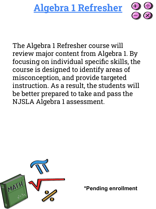## **Algebra 1 Refresher**

The Algebra 1 Refresher course will review major content from Algebra 1. By focusing on individual specific skills, the course is designed to identify areas of misconception, and provide targeted instruction. As a result, the students will be better prepared to take and pass the NJSLA Algebra 1 assessment.

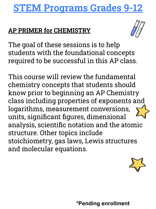## **STEM Programs Grades 9-12**

#### **AP PRIMER for CHEMISTRY**



The goal of these sessions is to help students with the foundational concepts required to be successful in this AP class.

This course will review the fundamental chemistry concepts that students should know prior to beginning an AP Chemistry class including properties of exponents and logarithms, measurement conversions, units, significant figures, dimensional analysis, scientific notation and the atomic structure. Other topics include stoichiometry, gas laws, Lewis structures and molecular equations.

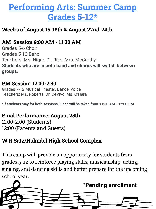## **Performing Arts: Summer Camp Grades 5-12\***

#### **Weeks of August 15-18th & August 22nd-24th**

#### **AM Session 9:00 AM - 11:30 AM**

Grades 5-6 Choir Grades 5-12 Band Teachers: Ms. Nigro, Dr. Riso, Mrs. McCarthy **Students who are in both band and chorus will switch between groups.**

#### **PM Session 12:00-2:30**

Grades 7-12 Musical Theater, Dance, Voice Teachers: Ms. Roberts, Dr. DeVivo, Ms. O'Hara

**\*If students stay for both sessions, lunch will be taken from 11:30 AM - 12:00 PM**

#### **Final Performance: August 25th**

11:00-2:00 (Students) 12:00 (Parents and Guests)

#### **W R Satz/Holmdel High School Complex**

This camp will provide an opportunity for students from grades 5-12 to reinforce playing skills, musicianship, acting, singing, and dancing skills and better prepare for the upcoming school year.